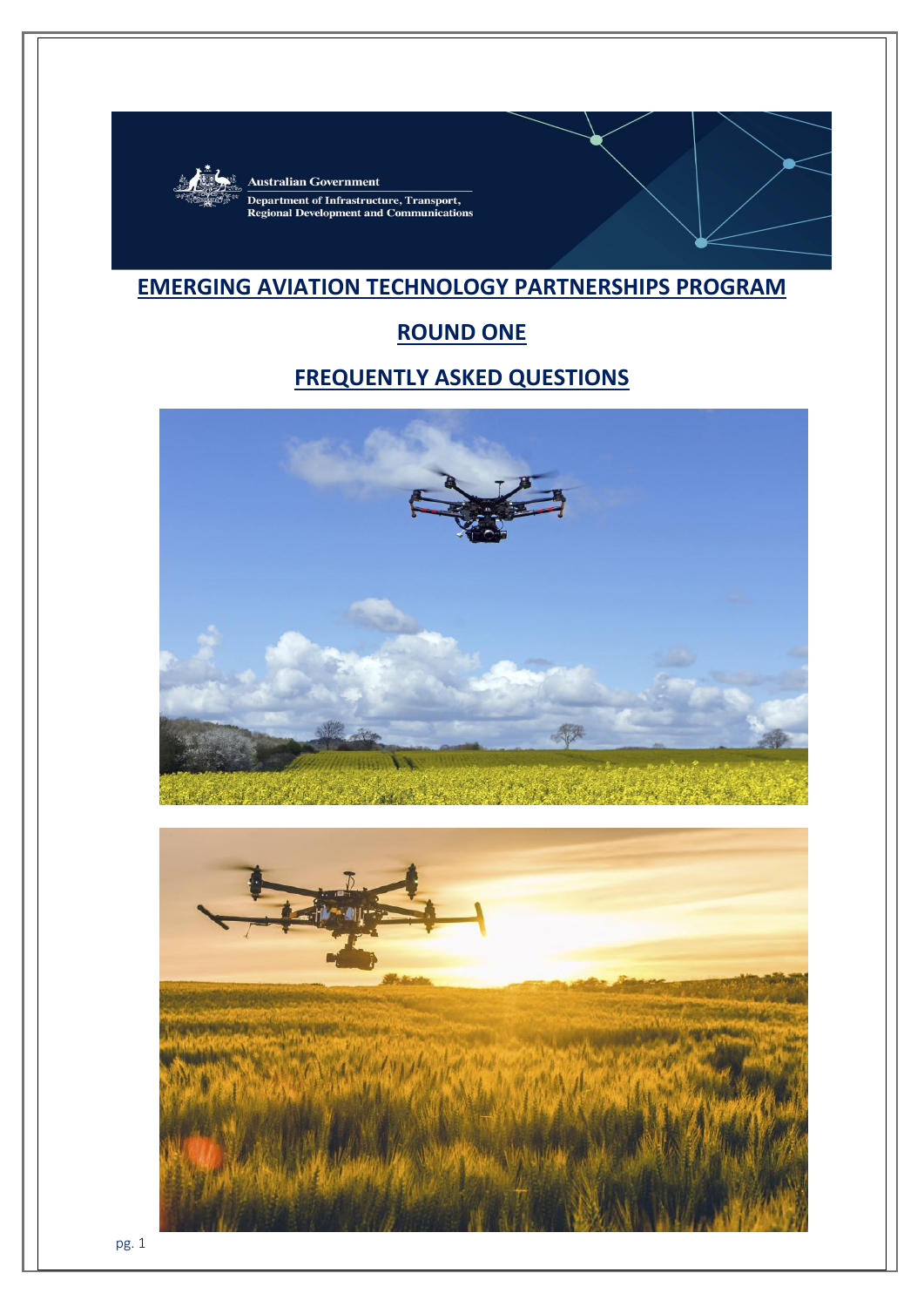

**Australian Government Department of Infrastructure, Transport,<br>Regional Development and Communications** 

# **EMERGING AVIATION TECHNOLOGY PARTNERSHIPS PROGRAM**

# **ROUND ONE**

# **FREQUENTLY ASKED QUESTIONS**



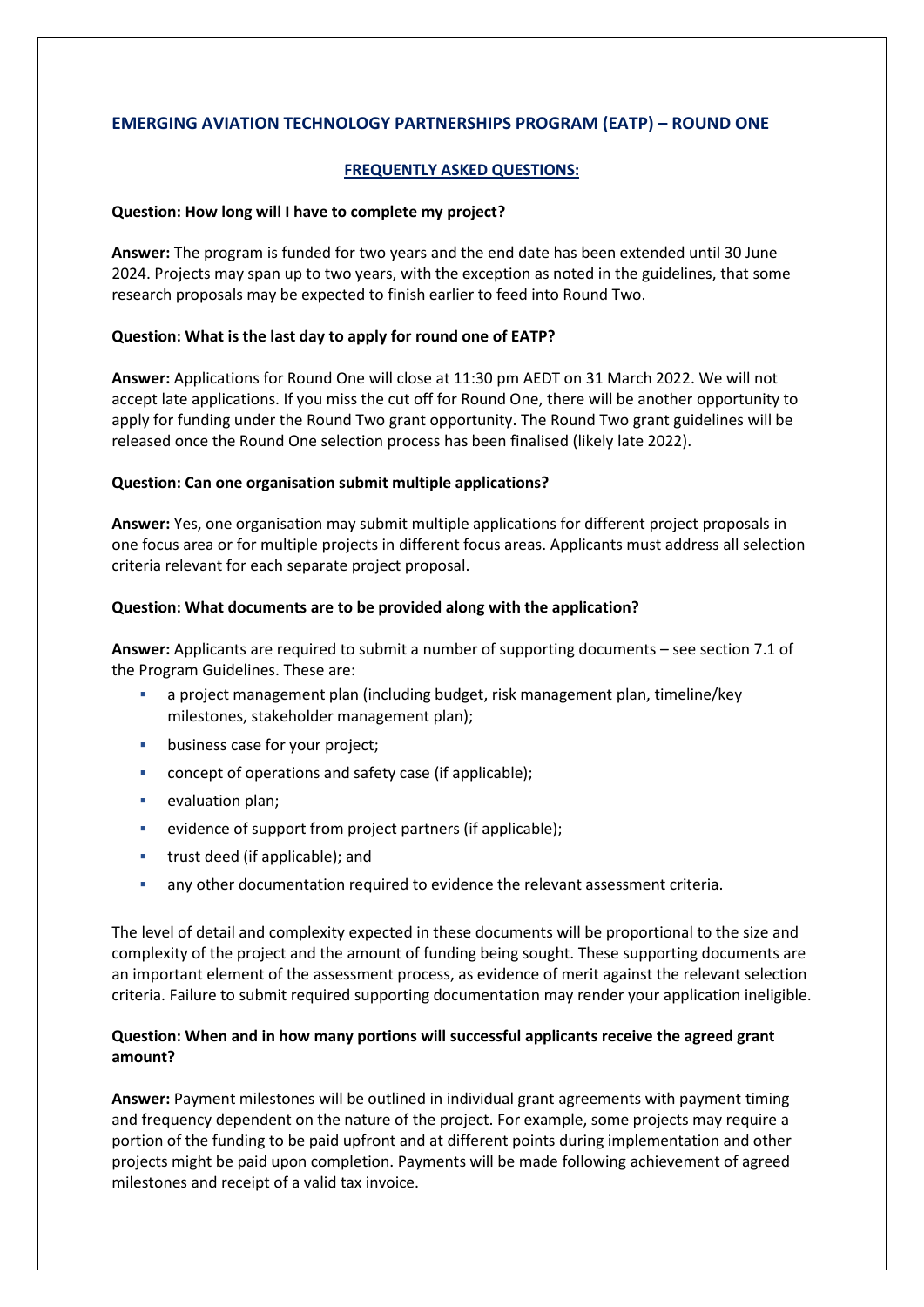# **EMERGING AVIATION TECHNOLOGY PARTNERSHIPS PROGRAM (EATP) – ROUND ONE**

# **FREQUENTLY ASKED QUESTIONS:**

## **Question: How long will I have to complete my project?**

**Answer:** The program is funded for two years and the end date has been extended until 30 June 2024. Projects may span up to two years, with the exception as noted in the guidelines, that some research proposals may be expected to finish earlier to feed into Round Two.

# **Question: What is the last day to apply for round one of EATP?**

**Answer:** Applications for Round One will close at 11:30 pm AEDT on 31 March 2022. We will not accept late applications. If you miss the cut off for Round One, there will be another opportunity to apply for funding under the Round Two grant opportunity. The Round Two grant guidelines will be released once the Round One selection process has been finalised (likely late 2022).

## **Question: Can one organisation submit multiple applications?**

**Answer:** Yes, one organisation may submit multiple applications for different project proposals in one focus area or for multiple projects in different focus areas. Applicants must address all selection criteria relevant for each separate project proposal.

# **Question: What documents are to be provided along with the application?**

**Answer:** Applicants are required to submit a number of supporting documents – see section 7.1 of the Program Guidelines. These are:

- a project management plan (including budget, risk management plan, timeline/key milestones, stakeholder management plan);
- business case for your project;
- concept of operations and safety case (if applicable);
- **•** evaluation plan;
- evidence of support from project partners (if applicable);
- **trust deed (if applicable); and**
- any other documentation required to evidence the relevant assessment criteria.

The level of detail and complexity expected in these documents will be proportional to the size and complexity of the project and the amount of funding being sought. These supporting documents are an important element of the assessment process, as evidence of merit against the relevant selection criteria. Failure to submit required supporting documentation may render your application ineligible.

# **Question: When and in how many portions will successful applicants receive the agreed grant amount?**

**Answer:** Payment milestones will be outlined in individual grant agreements with payment timing and frequency dependent on the nature of the project. For example, some projects may require a portion of the funding to be paid upfront and at different points during implementation and other projects might be paid upon completion. Payments will be made following achievement of agreed milestones and receipt of a valid tax invoice.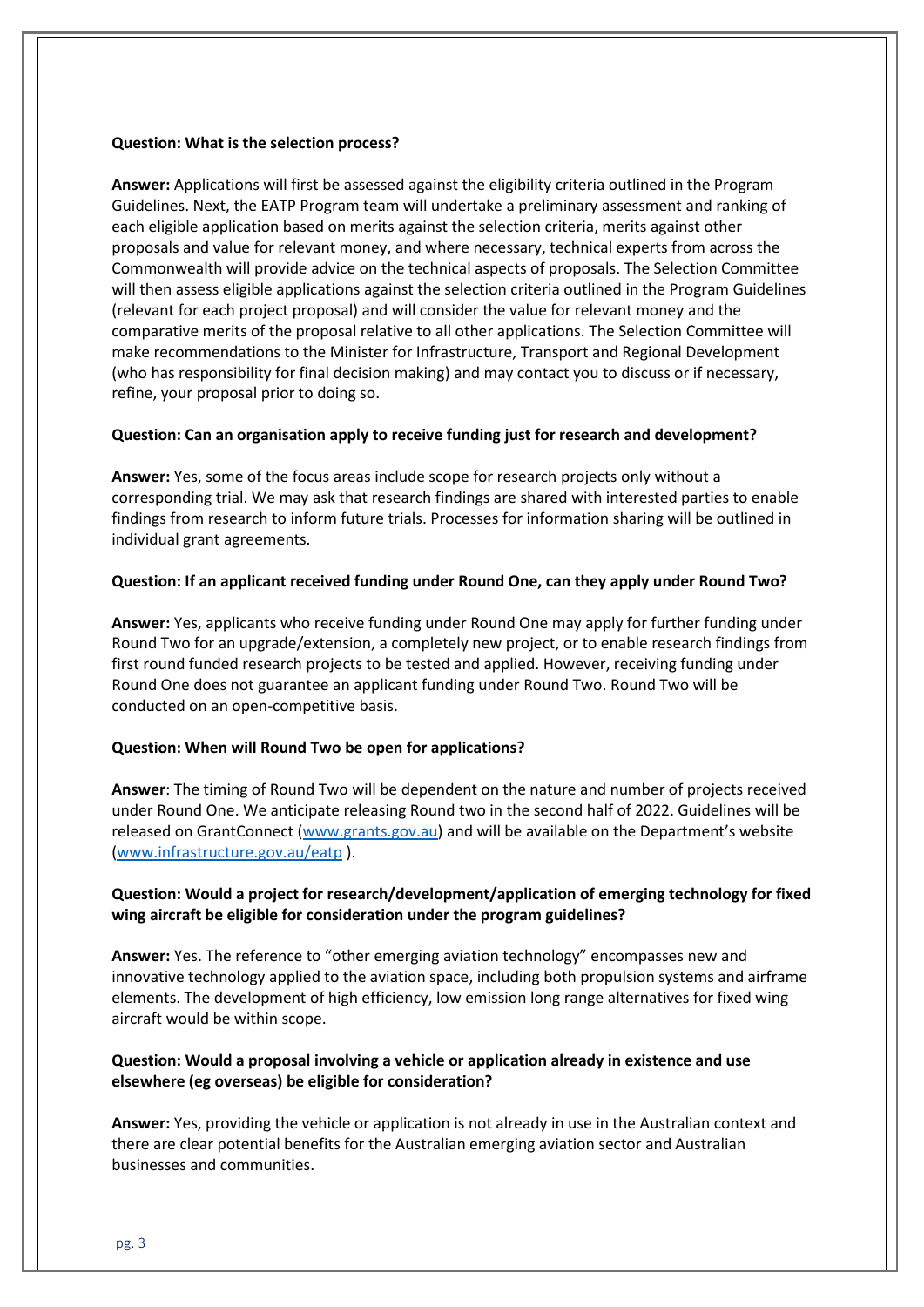## **Question: What is the selection process?**

**Answer:** Applications will first be assessed against the eligibility criteria outlined in the Program Guidelines. Next, the EATP Program team will undertake a preliminary assessment and ranking of each eligible application based on merits against the selection criteria, merits against other proposals and value for relevant money, and where necessary, technical experts from across the Commonwealth will provide advice on the technical aspects of proposals. The Selection Committee will then assess eligible applications against the selection criteria outlined in the Program Guidelines (relevant for each project proposal) and will consider the value for relevant money and the comparative merits of the proposal relative to all other applications. The Selection Committee will make recommendations to the Minister for Infrastructure, Transport and Regional Development (who has responsibility for final decision making) and may contact you to discuss or if necessary, refine, your proposal prior to doing so.

#### **Question: Can an organisation apply to receive funding just for research and development?**

**Answer:** Yes, some of the focus areas include scope for research projects only without a corresponding trial. We may ask that research findings are shared with interested parties to enable findings from research to inform future trials. Processes for information sharing will be outlined in individual grant agreements.

#### **Question: If an applicant received funding under Round One, can they apply under Round Two?**

**Answer:** Yes, applicants who receive funding under Round One may apply for further funding under Round Two for an upgrade/extension, a completely new project, or to enable research findings from first round funded research projects to be tested and applied. However, receiving funding under Round One does not guarantee an applicant funding under Round Two. Round Two will be conducted on an open-competitive basis.

#### **Question: When will Round Two be open for applications?**

**Answer**: The timing of Round Two will be dependent on the nature and number of projects received under Round One. We anticipate releasing Round two in the second half of 2022. Guidelines will be released on GrantConnect [\(www.grants.gov.au\)](http://www.grants.gov.au/) and will be available on the Department's website [\(www.infrastructure.gov.au/eatp](http://www.infrastructure.gov.au/eatp) ).

# **Question: Would a project for research/development/application of emerging technology for fixed wing aircraft be eligible for consideration under the program guidelines?**

**Answer:** Yes. The reference to "other emerging aviation technology" encompasses new and innovative technology applied to the aviation space, including both propulsion systems and airframe elements. The development of high efficiency, low emission long range alternatives for fixed wing aircraft would be within scope.

## **Question: Would a proposal involving a vehicle or application already in existence and use elsewhere (eg overseas) be eligible for consideration?**

**Answer:** Yes, providing the vehicle or application is not already in use in the Australian context and there are clear potential benefits for the Australian emerging aviation sector and Australian businesses and communities.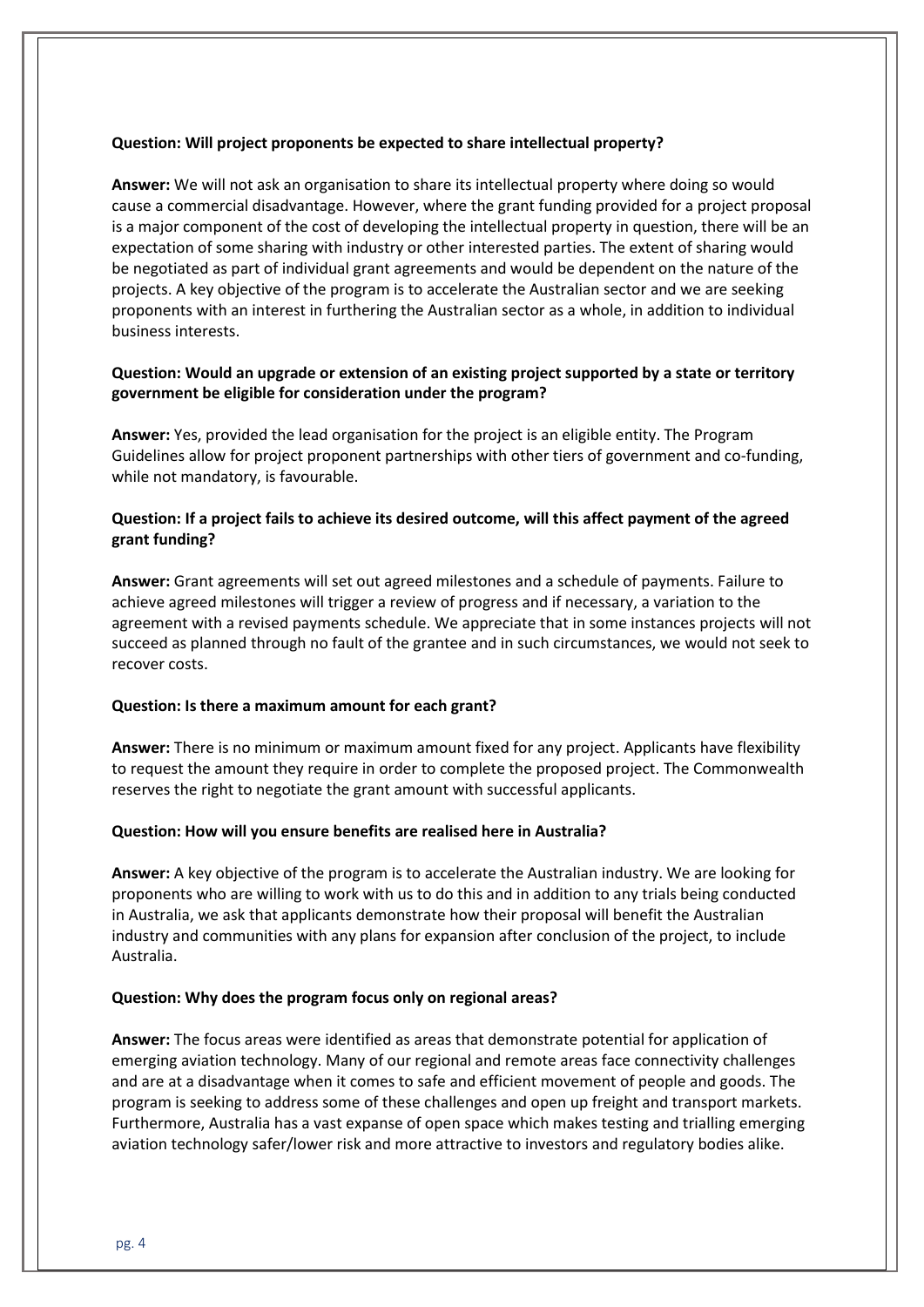## **Question: Will project proponents be expected to share intellectual property?**

**Answer:** We will not ask an organisation to share its intellectual property where doing so would cause a commercial disadvantage. However, where the grant funding provided for a project proposal is a major component of the cost of developing the intellectual property in question, there will be an expectation of some sharing with industry or other interested parties. The extent of sharing would be negotiated as part of individual grant agreements and would be dependent on the nature of the projects. A key objective of the program is to accelerate the Australian sector and we are seeking proponents with an interest in furthering the Australian sector as a whole, in addition to individual business interests.

## **Question: Would an upgrade or extension of an existing project supported by a state or territory government be eligible for consideration under the program?**

**Answer:** Yes, provided the lead organisation for the project is an eligible entity. The Program Guidelines allow for project proponent partnerships with other tiers of government and co-funding, while not mandatory, is favourable.

## **Question: If a project fails to achieve its desired outcome, will this affect payment of the agreed grant funding?**

**Answer:** Grant agreements will set out agreed milestones and a schedule of payments. Failure to achieve agreed milestones will trigger a review of progress and if necessary, a variation to the agreement with a revised payments schedule. We appreciate that in some instances projects will not succeed as planned through no fault of the grantee and in such circumstances, we would not seek to recover costs.

## **Question: Is there a maximum amount for each grant?**

**Answer:** There is no minimum or maximum amount fixed for any project. Applicants have flexibility to request the amount they require in order to complete the proposed project. The Commonwealth reserves the right to negotiate the grant amount with successful applicants.

## **Question: How will you ensure benefits are realised here in Australia?**

**Answer:** A key objective of the program is to accelerate the Australian industry. We are looking for proponents who are willing to work with us to do this and in addition to any trials being conducted in Australia, we ask that applicants demonstrate how their proposal will benefit the Australian industry and communities with any plans for expansion after conclusion of the project, to include Australia.

## **Question: Why does the program focus only on regional areas?**

**Answer:** The focus areas were identified as areas that demonstrate potential for application of emerging aviation technology. Many of our regional and remote areas face connectivity challenges and are at a disadvantage when it comes to safe and efficient movement of people and goods. The program is seeking to address some of these challenges and open up freight and transport markets. Furthermore, Australia has a vast expanse of open space which makes testing and trialling emerging aviation technology safer/lower risk and more attractive to investors and regulatory bodies alike.